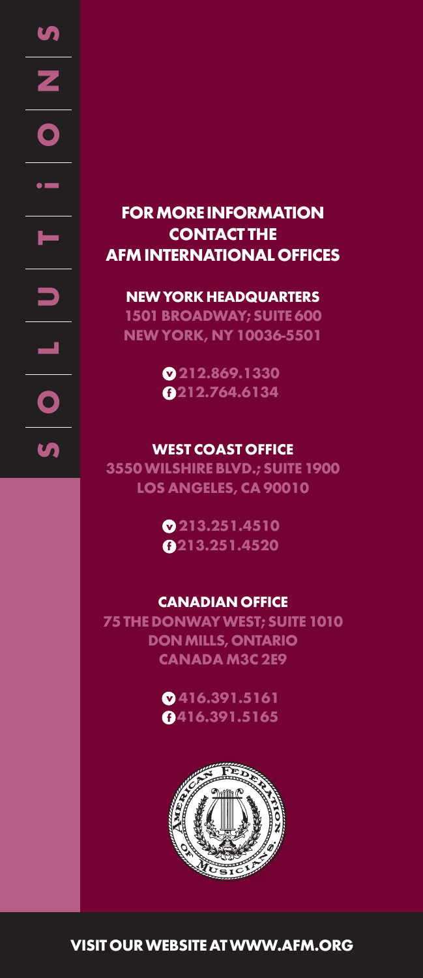# **FOR MORE INFORMATION CONTACT THE AFM INTERNATIONAL OFFICES**

#### **NEW YORK HEADQUARTERS**

**1501 BROADWAY; SUITE 600 NEW YORK, NY 10036-5501**

> **v 212.869.1330 f 212.764.6134**

#### **WEST COAST OFFICE**

**3550 WILSHIRE BLVD.; SUITE 1900 LOS ANGELES, CA 90010**

> **v 213.251.4510 f 213.251.4520**

### **CANADIAN OFFICE**

**75 THE DONWAY WEST; SUITE 1010 DON MILLS, ONTARIO CANADA M3C 2E9**

> **v 416.391.5161 f 416.391.5165**



**VISIT OUR WEBSITE AT WWW.AFM.ORG**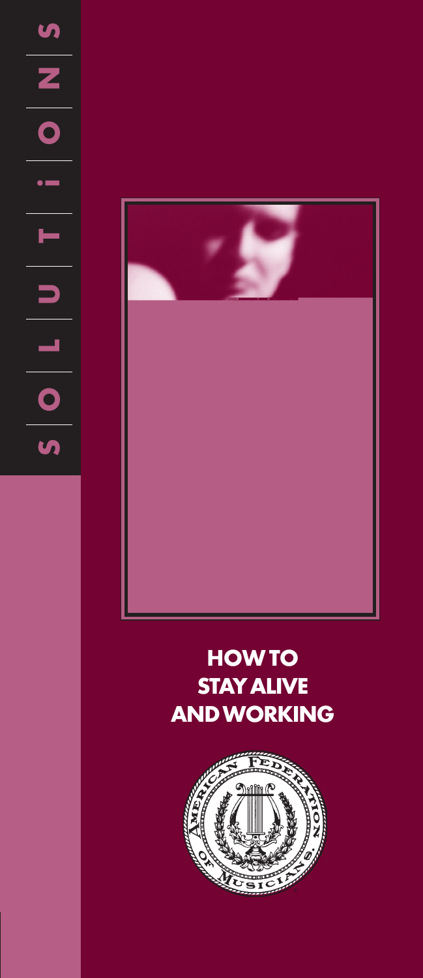$\begin{array}{c|c} \textbf{S} \\ \hline \textbf{S} \\ \hline \textbf{O} \end{array}$ **S**  $\begin{bmatrix} \blacksquare & \blacksquare & \blacksquare & \blacksquare & \blacksquare & \blacksquare & \blacksquare \end{bmatrix}$  $\bullet$   $\blacksquare$  $\begin{array}{c|c} \textbf{u} & \textbf{v} \\ \hline \textbf{v} & \textbf{v} \end{array}$  $\overline{\mathbf{S}}$ 



# **HOW TO STAY ALIVE AND WORKING**

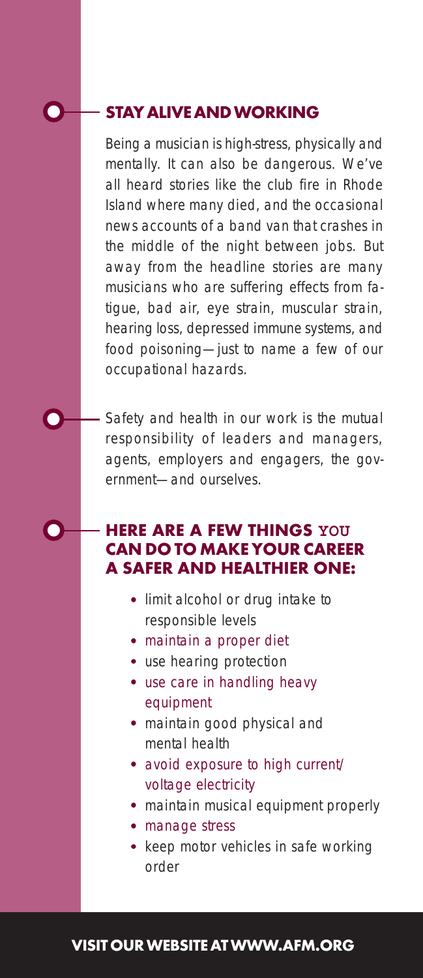## **STAY ALIVE AND WORKING**

Being a musician is high-stress, physically and mentally. It can also be dangerous. We've all heard stories like the club fire in Rhode Island where many died, and the occasional news accounts of a band van that crashes in the middle of the night between jobs. But away from the headline stories are many musicians who are suffering effects from fatigue, bad air, eye strain, muscular strain, hearing loss, depressed immune systems, and food poisoning—just to name a few of our occupational hazards.

Safety and health in our work is the mutual responsibility of leaders and managers, agents, employers and engagers, the government—and ourselves.

#### **HERE ARE A FEW THINGS YOU CAN DO TO MAKE YOUR CAREER A SAFER AND HEALTHIER ONE:**

- **•** limit alcohol or drug intake to responsible levels
- **•** maintain a proper diet
- **•** use hearing protection
- **•** use care in handling heavy equipment
- **•** maintain good physical and mental health
- **•** avoid exposure to high current/ voltage electricity
- **•** maintain musical equipment properly
- **•** manage stress
- **•** keep motor vehicles in safe working order